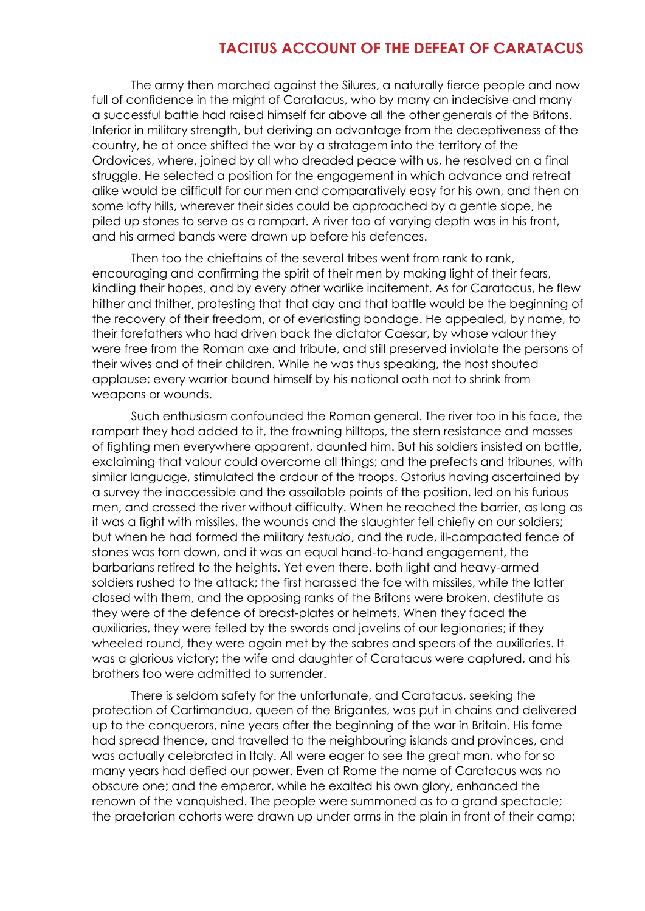## **TACITUS ACCOUNT OF THE DEFEAT OF CARATACUS**

The army then marched against the Silures, a naturally fierce people and now full of confidence in the might of Caratacus, who by many an indecisive and many a successful battle had raised himself far above all the other generals of the Britons. Inferior in military strength, but deriving an advantage from the deceptiveness of the country, he at once shifted the war by a stratagem into the territory of the Ordovices, where, joined by all who dreaded peace with us, he resolved on a final struggle. He selected a position for the engagement in which advance and retreat alike would be difficult for our men and comparatively easy for his own, and then on some lofty hills, wherever their sides could be approached by a gentle slope, he piled up stones to serve as a rampart. A river too of varying depth was in his front, and his armed bands were drawn up before his defences.

Then too the chieftains of the several tribes went from rank to rank, encouraging and confirming the spirit of their men by making light of their fears, kindling their hopes, and by every other warlike incitement. As for Caratacus, he flew hither and thither, protesting that that day and that battle would be the beginning of the recovery of their freedom, or of everlasting bondage. He appealed, by name, to their forefathers who had driven back the dictator Caesar, by whose valour they were free from the Roman axe and tribute, and still preserved inviolate the persons of their wives and of their children. While he was thus speaking, the host shouted applause; every warrior bound himself by his national oath not to shrink from weapons or wounds.

Such enthusiasm confounded the Roman general. The river too in his face, the rampart they had added to it, the frowning hilltops, the stern resistance and masses of fighting men everywhere apparent, daunted him. But his soldiers insisted on battle, exclaiming that valour could overcome all things; and the prefects and tribunes, with similar language, stimulated the ardour of the troops. Ostorius having ascertained by a survey the inaccessible and the assailable points of the position, led on his furious men, and crossed the river without difficulty. When he reached the barrier, as long as it was a fight with missiles, the wounds and the slaughter fell chiefly on our soldiers; but when he had formed the military *testudo*, and the rude, ill-compacted fence of stones was torn down, and it was an equal hand-to-hand engagement, the barbarians retired to the heights. Yet even there, both light and heavy-armed soldiers rushed to the attack; the first harassed the foe with missiles, while the latter closed with them, and the opposing ranks of the Britons were broken, destitute as they were of the defence of breast-plates or helmets. When they faced the auxiliaries, they were felled by the swords and javelins of our legionaries; if they wheeled round, they were again met by the sabres and spears of the auxiliaries. It was a glorious victory; the wife and daughter of Caratacus were captured, and his brothers too were admitted to surrender.

There is seldom safety for the unfortunate, and Caratacus, seeking the protection of Cartimandua, queen of the Brigantes, was put in chains and delivered up to the conquerors, nine years after the beginning of the war in Britain. His fame had spread thence, and travelled to the neighbouring islands and provinces, and was actually celebrated in Italy. All were eager to see the great man, who for so many years had defied our power. Even at Rome the name of Caratacus was no obscure one; and the emperor, while he exalted his own glory, enhanced the renown of the vanquished. The people were summoned as to a grand spectacle; the praetorian cohorts were drawn up under arms in the plain in front of their camp;